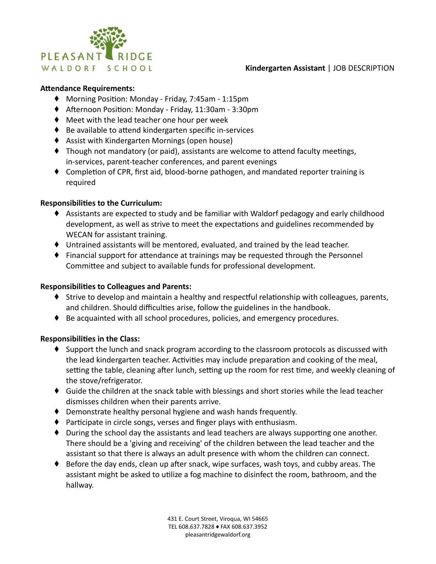

### **Kindergarten Assistant** | JOB DESCRIPTION

#### **Attendance Requirements:**

- ♦ Morning Position: Monday Friday, 7:45am 1:15pm
- ♦ Afternoon Position: Monday Friday, 11:30am 3:30pm
- ◆ Meet with the lead teacher one hour per week
- $\bullet$  Be available to attend kindergarten specific in-services
- ⬧ Assist with Kindergarten Mornings (open house)
- ♦ Though not mandatory (or paid), assistants are welcome to attend faculty meetings, in-services, parent-teacher conferences, and parent evenings
- $\blacklozenge$  Completion of CPR, first aid, blood-borne pathogen, and mandated reporter training is required

#### **Responsibilies to the Curriculum:**

- ♦ Assistants are expected to study and be familiar with Waldorf pedagogy and early childhood development, as well as strive to meet the expectations and guidelines recommended by WECAN for assistant training.
- ⬧ Untrained assistants will be mentored, evaluated, and trained by the lead teacher.
- $\bullet$  Financial support for attendance at trainings may be requested through the Personnel Committee and subject to available funds for professional development.

### **Responsibilies to Colleagues and Parents:**

- ♦ Strive to develop and maintain a healthy and respectful relationship with colleagues, parents, and children. Should difficulties arise, follow the guidelines in the handbook.
- ♦ Be acquainted with all school procedures, policies, and emergency procedures.

### **Responsibilies in the Class:**

- ⬧ Support the lunch and snack program according to the classroom protocols as discussed with the lead kindergarten teacher. Activities may include preparation and cooking of the meal, setting the table, cleaning after lunch, setting up the room for rest time, and weekly cleaning of the stove/refrigerator.
- ◆ Guide the children at the snack table with blessings and short stories while the lead teacher dismisses children when their parents arrive.
- ⬧ Demonstrate healthy personal hygiene and wash hands frequently.
- $\blacklozenge$  Participate in circle songs, verses and finger plays with enthusiasm.
- $\blacklozenge$  During the school day the assistants and lead teachers are always supporting one another. There should be a 'giving and receiving' of the children between the lead teacher and the assistant so that there is always an adult presence with whom the children can connect.
- $\blacklozenge$  Before the day ends, clean up after snack, wipe surfaces, wash toys, and cubby areas. The assistant might be asked to utilize a fog machine to disinfect the room, bathroom, and the hallway.

431 E. Court Street, Viroqua, WI 54665 TEL 608.637.7828 ♦ FAX 608.637.3952 pleasantridgewaldorf.org